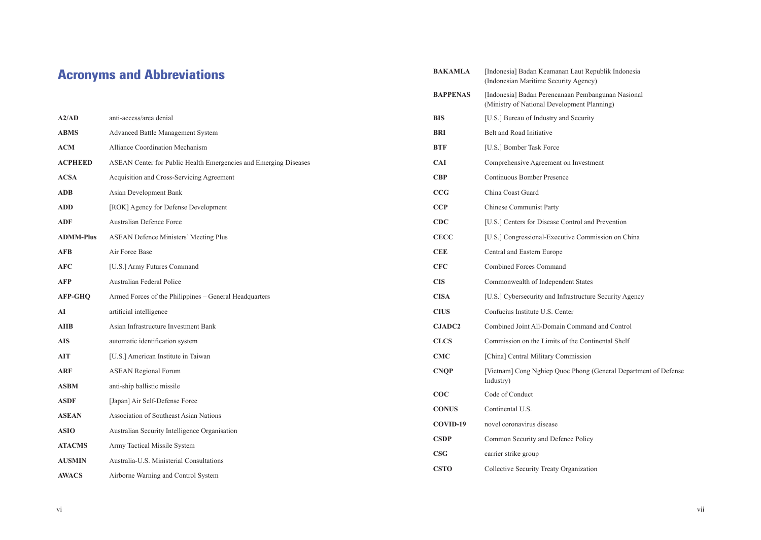## Acronyms and Abbreviations

| A2/AD            | anti-access/area denial                                          | <b>BIS</b>     | [U.S.] Bureau of I     |
|------------------|------------------------------------------------------------------|----------------|------------------------|
| <b>ABMS</b>      | <b>Advanced Battle Management System</b>                         | <b>BRI</b>     | Belt and Road Ini      |
| <b>ACM</b>       | Alliance Coordination Mechanism                                  | <b>BTF</b>     | [U.S.] Bomber Ta       |
| <b>ACPHEED</b>   | ASEAN Center for Public Health Emergencies and Emerging Diseases | <b>CAI</b>     | Comprehensive A        |
| <b>ACSA</b>      | Acquisition and Cross-Servicing Agreement                        | <b>CBP</b>     | Continuous Bomb        |
| ADB              | Asian Development Bank                                           | CCG            | China Coast Guar       |
| <b>ADD</b>       | [ROK] Agency for Defense Development                             | CCP            | Chinese Commun         |
| <b>ADF</b>       | Australian Defence Force                                         | CDC            | [U.S.] Centers for     |
| <b>ADMM-Plus</b> | ASEAN Defence Ministers' Meeting Plus                            | <b>CECC</b>    | [U.S.] Congressio      |
| <b>AFB</b>       | Air Force Base                                                   | <b>CEE</b>     | Central and Easter     |
| <b>AFC</b>       | [U.S.] Army Futures Command                                      | <b>CFC</b>     | <b>Combined Forces</b> |
| <b>AFP</b>       | Australian Federal Police                                        | <b>CIS</b>     | Commonwealth o         |
| <b>AFP-GHQ</b>   | Armed Forces of the Philippines – General Headquarters           | <b>CISA</b>    | [U.S.] Cybersecur      |
| AI               | artificial intelligence                                          | <b>CIUS</b>    | Confucius Institut     |
| <b>AIIB</b>      | Asian Infrastructure Investment Bank                             | <b>CJADC2</b>  | Combined Joint A       |
| <b>AIS</b>       | automatic identification system                                  | <b>CLCS</b>    | Commission on th       |
| <b>AIT</b>       | [U.S.] American Institute in Taiwan                              | <b>CMC</b>     | [China] Central M      |
| <b>ARF</b>       | <b>ASEAN Regional Forum</b>                                      | <b>CNQP</b>    | [Vietnam] Cong N       |
| <b>ASBM</b>      | anti-ship ballistic missile                                      |                | Industry)              |
| <b>ASDF</b>      | [Japan] Air Self-Defense Force                                   | COC            | Code of Conduct        |
| <b>ASEAN</b>     | Association of Southeast Asian Nations                           | <b>CONUS</b>   | Continental U.S.       |
| <b>ASIO</b>      | Australian Security Intelligence Organisation                    | COVID-19       | novel coronavirus      |
| <b>ATACMS</b>    | Army Tactical Missile System                                     | <b>CSDP</b>    | Common Security        |
| <b>AUSMIN</b>    | Australia-U.S. Ministerial Consultations                         | $\mathbf{CSG}$ | carrier strike grou    |
| <b>AWACS</b>     | Airborne Warning and Control System                              | <b>CSTO</b>    | Collective Securit     |
|                  |                                                                  |                |                        |

| BAKAMLA         | [Indonesia] Badan Keamanan Laut Republik Indonesia<br>(Indonesian Maritime Security Agency)       |
|-----------------|---------------------------------------------------------------------------------------------------|
| <b>BAPPENAS</b> | [Indonesia] Badan Perencanaan Pembangunan Nasional<br>(Ministry of National Development Planning) |
| BIS             | [U.S.] Bureau of Industry and Security                                                            |
| <b>BRI</b>      | Belt and Road Initiative                                                                          |
| BTF             | [U.S.] Bomber Task Force                                                                          |
| CAI             | Comprehensive Agreement on Investment                                                             |
| CBP             | Continuous Bomber Presence                                                                        |
| CCG             | China Coast Guard                                                                                 |
| CCP             | Chinese Communist Party                                                                           |
| CDC             | [U.S.] Centers for Disease Control and Prevention                                                 |
| CECC            | [U.S.] Congressional-Executive Commission on China                                                |
| CEE             | Central and Eastern Europe                                                                        |
| <b>CFC</b>      | Combined Forces Command                                                                           |
| CIS             | Commonwealth of Independent States                                                                |
| CISA            | [U.S.] Cybersecurity and Infrastructure Security Agency                                           |
| <b>CIUS</b>     | Confucius Institute U.S. Center                                                                   |
| <b>CJADC2</b>   | Combined Joint All-Domain Command and Control                                                     |
| <b>CLCS</b>     | Commission on the Limits of the Continental Shelf                                                 |
| CMC             | [China] Central Military Commission                                                               |
| <b>CNQP</b>     | [Vietnam] Cong Nghiep Quoc Phong (General Department of Defense<br>Industry)                      |
| $\bf COC$       | Code of Conduct                                                                                   |
| <b>CONUS</b>    | Continental U.S.                                                                                  |
| COVID-19        | novel coronavirus disease                                                                         |
| <b>CSDP</b>     | Common Security and Defence Policy                                                                |
| $\bf{CSG}$      | carrier strike group                                                                              |
| <b>CSTO</b>     | Collective Security Treaty Organization                                                           |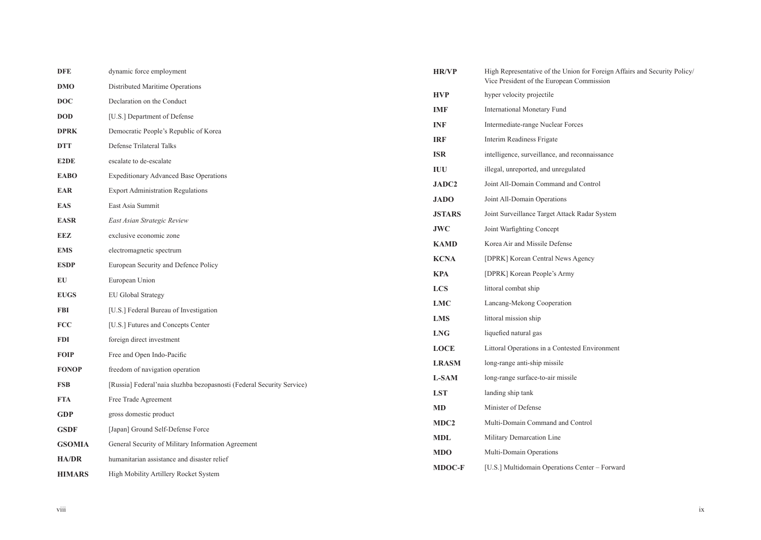| DFE                                                    | dynamic force employment                                              | <b>HR/VP</b>     | High Representative of the Union for Foreign Affairs and Security Policy. |
|--------------------------------------------------------|-----------------------------------------------------------------------|------------------|---------------------------------------------------------------------------|
| DMO                                                    | Distributed Maritime Operations                                       | <b>HVP</b>       | Vice President of the European Commission<br>hyper velocity projectile    |
| <b>DOC</b>                                             | Declaration on the Conduct                                            |                  |                                                                           |
| <b>DOD</b>                                             | [U.S.] Department of Defense                                          | IMF              | <b>International Monetary Fund</b>                                        |
| DPRK                                                   | Democratic People's Republic of Korea                                 | <b>INF</b>       | Intermediate-range Nuclear Forces                                         |
| DTT                                                    | Defense Trilateral Talks                                              | <b>IRF</b>       | Interim Readiness Frigate                                                 |
| E2DE                                                   | escalate to de-escalate                                               | <b>ISR</b>       | intelligence, surveillance, and reconnaissance                            |
| EABO                                                   | <b>Expeditionary Advanced Base Operations</b>                         | IUU              | illegal, unreported, and unregulated                                      |
| EAR                                                    | <b>Export Administration Regulations</b>                              | JADC2            | Joint All-Domain Command and Control                                      |
| EAS                                                    | East Asia Summit                                                      | <b>JADO</b>      | Joint All-Domain Operations                                               |
| EASR                                                   | East Asian Strategic Review                                           | <b>JSTARS</b>    | Joint Surveillance Target Attack Radar System                             |
| EEZ                                                    | exclusive economic zone                                               | <b>JWC</b>       | Joint Warfighting Concept                                                 |
| EMS                                                    | electromagnetic spectrum                                              | <b>KAMD</b>      | Korea Air and Missile Defense                                             |
| <b>ESDP</b>                                            | European Security and Defence Policy                                  | <b>KCNA</b>      | [DPRK] Korean Central News Agency                                         |
| EU                                                     | European Union                                                        | <b>KPA</b>       | [DPRK] Korean People's Army                                               |
| <b>EUGS</b>                                            | <b>EU Global Strategy</b>                                             | <b>LCS</b>       | littoral combat ship                                                      |
| FBI                                                    | [U.S.] Federal Bureau of Investigation                                | <b>LMC</b>       | Lancang-Mekong Cooperation                                                |
| <b>FCC</b>                                             | [U.S.] Futures and Concepts Center                                    | <b>LMS</b>       | littoral mission ship                                                     |
|                                                        |                                                                       | <b>LNG</b>       | liquefied natural gas                                                     |
| <b>FDI</b>                                             | foreign direct investment                                             | <b>LOCE</b>      | Littoral Operations in a Contested Environment                            |
| FOIP                                                   | Free and Open Indo-Pacific                                            | <b>LRASM</b>     | long-range anti-ship missile                                              |
| <b>FONOP</b>                                           | freedom of navigation operation                                       | <b>L-SAM</b>     | long-range surface-to-air missile                                         |
| FSB                                                    | [Russia] Federal'naia sluzhba bezopasnosti (Federal Security Service) | <b>LST</b>       | landing ship tank                                                         |
| FTA                                                    | Free Trade Agreement                                                  | MD               | Minister of Defense                                                       |
| <b>GDP</b>                                             | gross domestic product                                                | MDC <sub>2</sub> | Multi-Domain Command and Control                                          |
| <b>GSDF</b>                                            | [Japan] Ground Self-Defense Force                                     | <b>MDL</b>       | Military Demarcation Line                                                 |
| <b>GSOMIA</b>                                          | General Security of Military Information Agreement                    | <b>MDO</b>       | Multi-Domain Operations                                                   |
| <b>HA/DR</b>                                           | humanitarian assistance and disaster relief                           | <b>MDOC-F</b>    | [U.S.] Multidomain Operations Center - Forward                            |
| <b>HIMARS</b><br>High Mobility Artillery Rocket System |                                                                       |                  |                                                                           |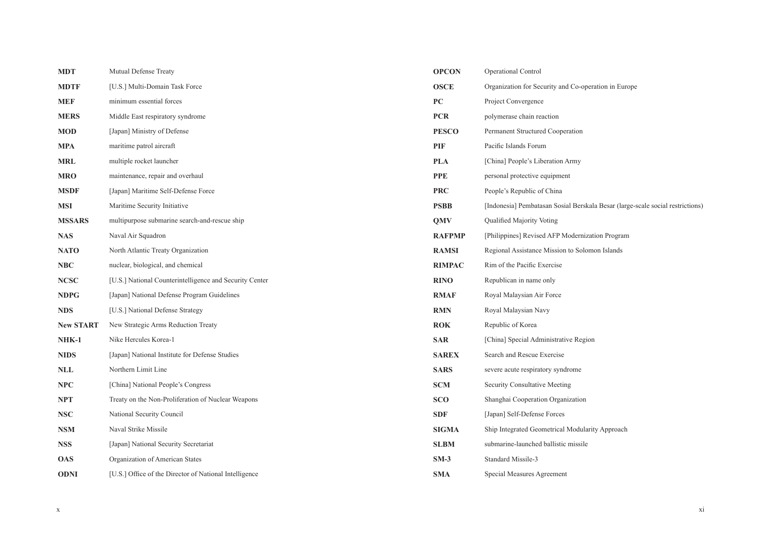| <b>MDT</b>       | Mutual Defense Treaty                                   | <b>OPCON</b>  | Operational Control                                                            |
|------------------|---------------------------------------------------------|---------------|--------------------------------------------------------------------------------|
| <b>MDTF</b>      | [U.S.] Multi-Domain Task Force                          | <b>OSCE</b>   | Organization for Security and Co-operation in Europe                           |
| <b>MEF</b>       | minimum essential forces                                | PC            | Project Convergence                                                            |
| <b>MERS</b>      | Middle East respiratory syndrome                        | <b>PCR</b>    | polymerase chain reaction                                                      |
| <b>MOD</b>       | [Japan] Ministry of Defense                             | <b>PESCO</b>  | Permanent Structured Cooperation                                               |
| MPA              | maritime patrol aircraft                                | PIF           | Pacific Islands Forum                                                          |
| <b>MRL</b>       | multiple rocket launcher                                | <b>PLA</b>    | [China] People's Liberation Army                                               |
| <b>MRO</b>       | maintenance, repair and overhaul                        | <b>PPE</b>    | personal protective equipment                                                  |
| MSDF             | [Japan] Maritime Self-Defense Force                     | <b>PRC</b>    | People's Republic of China                                                     |
| <b>MSI</b>       | Maritime Security Initiative                            | <b>PSBB</b>   | [Indonesia] Pembatasan Sosial Berskala Besar (large-scale social restrictions) |
| <b>MSSARS</b>    | multipurpose submarine search-and-rescue ship           | <b>QMV</b>    | Qualified Majority Voting                                                      |
| <b>NAS</b>       | Naval Air Squadron                                      | <b>RAFPMP</b> | [Philippines] Revised AFP Modernization Program                                |
| <b>NATO</b>      | North Atlantic Treaty Organization                      | <b>RAMSI</b>  | Regional Assistance Mission to Solomon Islands                                 |
| NBC              | nuclear, biological, and chemical                       | <b>RIMPAC</b> | Rim of the Pacific Exercise                                                    |
| <b>NCSC</b>      | [U.S.] National Counterintelligence and Security Center | <b>RINO</b>   | Republican in name only                                                        |
| <b>NDPG</b>      | [Japan] National Defense Program Guidelines             | <b>RMAF</b>   | Royal Malaysian Air Force                                                      |
| <b>NDS</b>       | [U.S.] National Defense Strategy                        | <b>RMN</b>    | Royal Malaysian Navy                                                           |
| <b>New START</b> | New Strategic Arms Reduction Treaty                     | <b>ROK</b>    | Republic of Korea                                                              |
| NHK-1            | Nike Hercules Korea-1                                   | <b>SAR</b>    | [China] Special Administrative Region                                          |
| <b>NIDS</b>      | [Japan] National Institute for Defense Studies          | <b>SAREX</b>  | Search and Rescue Exercise                                                     |
| $\bf NLL$        | Northern Limit Line                                     | <b>SARS</b>   | severe acute respiratory syndrome                                              |
| NPC              | [China] National People's Congress                      | <b>SCM</b>    | Security Consultative Meeting                                                  |
| NPT              | Treaty on the Non-Proliferation of Nuclear Weapons      | <b>SCO</b>    | Shanghai Cooperation Organization                                              |
| <b>NSC</b>       | National Security Council                               | <b>SDF</b>    | [Japan] Self-Defense Forces                                                    |
| NSM              | Naval Strike Missile                                    | <b>SIGMA</b>  | Ship Integrated Geometrical Modularity Approach                                |
| <b>NSS</b>       | [Japan] National Security Secretariat                   | <b>SLBM</b>   | submarine-launched ballistic missile                                           |
| <b>OAS</b>       | Organization of American States                         | $SM-3$        | Standard Missile-3                                                             |
| ODNI             | [U.S.] Office of the Director of National Intelligence  | <b>SMA</b>    | Special Measures Agreement                                                     |